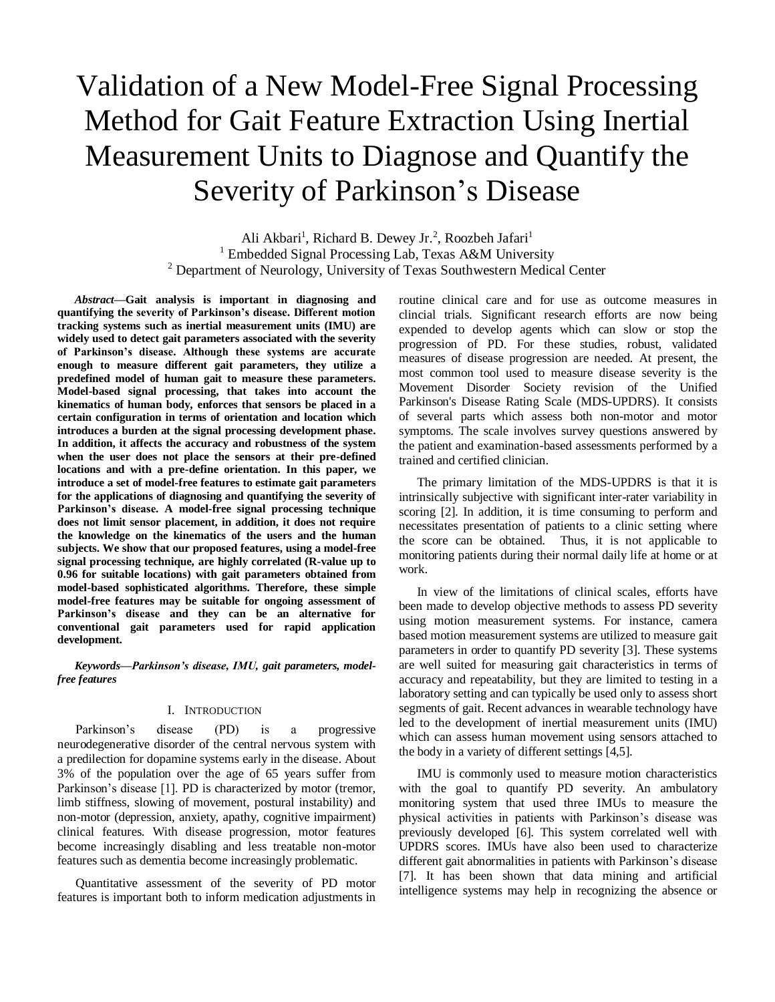# Validation of a New Model-Free Signal Processing Method for Gait Feature Extraction Using Inertial Measurement Units to Diagnose and Quantify the Severity of Parkinson's Disease

Ali Akbari<sup>1</sup>, Richard B. Dewey Jr.<sup>2</sup>, Roozbeh Jafari<sup>1</sup> <sup>1</sup> Embedded Signal Processing Lab, Texas A&M University  $2$  Department of Neurology, University of Texas Southwestern Medical Center

*Abstract***—Gait analysis is important in diagnosing and quantifying the severity of Parkinson's disease. Different motion tracking systems such as inertial measurement units (IMU) are widely used to detect gait parameters associated with the severity of Parkinson's disease. Although these systems are accurate enough to measure different gait parameters, they utilize a predefined model of human gait to measure these parameters. Model-based signal processing, that takes into account the kinematics of human body, enforces that sensors be placed in a certain configuration in terms of orientation and location which introduces a burden at the signal processing development phase. In addition, it affects the accuracy and robustness of the system when the user does not place the sensors at their pre-defined locations and with a pre-define orientation. In this paper, we introduce a set of model-free features to estimate gait parameters for the applications of diagnosing and quantifying the severity of Parkinson's disease. A model-free signal processing technique does not limit sensor placement, in addition, it does not require the knowledge on the kinematics of the users and the human subjects. We show that our proposed features, using a model-free signal processing technique, are highly correlated (R-value up to 0.96 for suitable locations) with gait parameters obtained from model-based sophisticated algorithms. Therefore, these simple model-free features may be suitable for ongoing assessment of Parkinson's disease and they can be an alternative for conventional gait parameters used for rapid application development.** 

*Keywords—Parkinson's disease, IMU, gait parameters, modelfree features*

# I. INTRODUCTION

Parkinson's disease (PD) is a progressive neurodegenerative disorder of the central nervous system with a predilection for dopamine systems early in the disease. About 3% of the population over the age of 65 years suffer from Parkinson's disease [1]. PD is characterized by motor (tremor, limb stiffness, slowing of movement, postural instability) and non-motor (depression, anxiety, apathy, cognitive impairment) clinical features. With disease progression, motor features become increasingly disabling and less treatable non-motor features such as dementia become increasingly problematic.

Quantitative assessment of the severity of PD motor features is important both to inform medication adjustments in

routine clinical care and for use as outcome measures in clincial trials. Significant research efforts are now being expended to develop agents which can slow or stop the progression of PD. For these studies, robust, validated measures of disease progression are needed. At present, the most common tool used to measure disease severity is the Movement Disorder Society revision of the Unified Parkinson's Disease Rating Scale (MDS-UPDRS). It consists of several parts which assess both non-motor and motor symptoms. The scale involves survey questions answered by the patient and examination-based assessments performed by a trained and certified clinician.

The primary limitation of the MDS-UPDRS is that it is intrinsically subjective with significant inter-rater variability in scoring [2]. In addition, it is time consuming to perform and necessitates presentation of patients to a clinic setting where the score can be obtained. Thus, it is not applicable to monitoring patients during their normal daily life at home or at work.

In view of the limitations of clinical scales, efforts have been made to develop objective methods to assess PD severity using motion measurement systems. For instance, camera based motion measurement systems are utilized to measure gait parameters in order to quantify PD severity [3]. These systems are well suited for measuring gait characteristics in terms of accuracy and repeatability, but they are limited to testing in a laboratory setting and can typically be used only to assess short segments of gait. Recent advances in wearable technology have led to the development of inertial measurement units (IMU) which can assess human movement using sensors attached to the body in a variety of different settings [4,5].

IMU is commonly used to measure motion characteristics with the goal to quantify PD severity. An ambulatory monitoring system that used three IMUs to measure the physical activities in patients with Parkinson's disease was previously developed [6]. This system correlated well with UPDRS scores. IMUs have also been used to characterize different gait abnormalities in patients with Parkinson's disease [7]. It has been shown that data mining and artificial intelligence systems may help in recognizing the absence or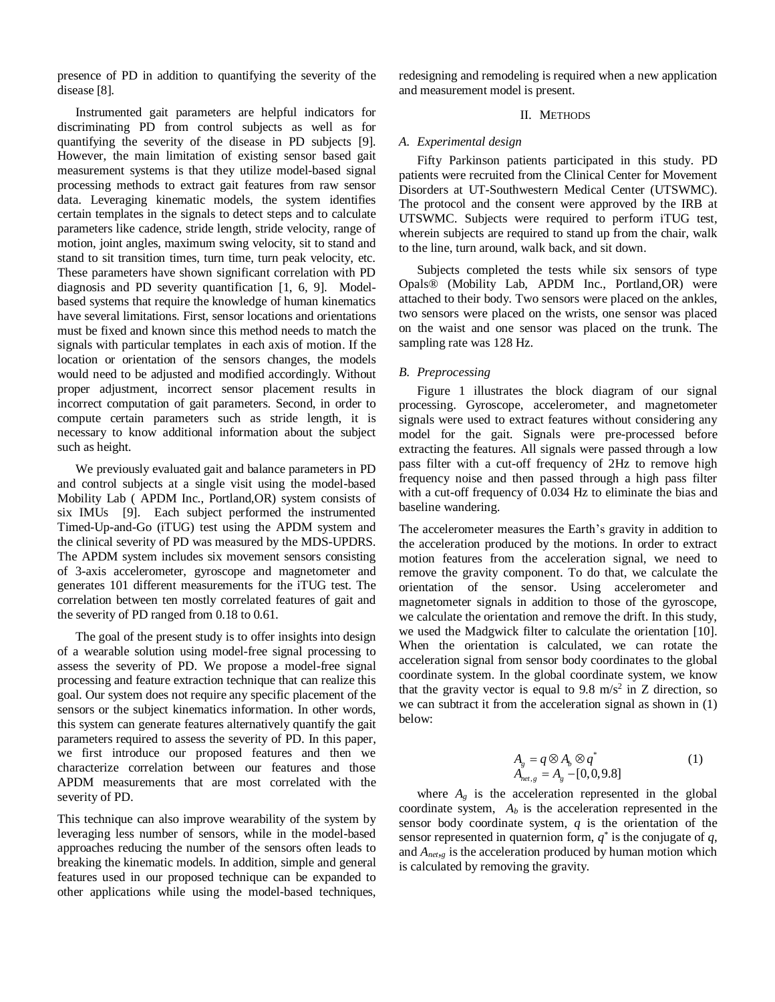presence of PD in addition to quantifying the severity of the disease [8].

Instrumented gait parameters are helpful indicators for discriminating PD from control subjects as well as for quantifying the severity of the disease in PD subjects [9]. However, the main limitation of existing sensor based gait measurement systems is that they utilize model-based signal processing methods to extract gait features from raw sensor data. Leveraging kinematic models, the system identifies certain templates in the signals to detect steps and to calculate parameters like cadence, stride length, stride velocity, range of motion, joint angles, maximum swing velocity, sit to stand and stand to sit transition times, turn time, turn peak velocity, etc. These parameters have shown significant correlation with PD diagnosis and PD severity quantification [1, 6, 9]. Modelbased systems that require the knowledge of human kinematics have several limitations. First, sensor locations and orientations must be fixed and known since this method needs to match the signals with particular templates in each axis of motion. If the location or orientation of the sensors changes, the models would need to be adjusted and modified accordingly. Without proper adjustment, incorrect sensor placement results in incorrect computation of gait parameters. Second, in order to compute certain parameters such as stride length, it is necessary to know additional information about the subject such as height.

We previously evaluated gait and balance parameters in PD and control subjects at a single visit using the model-based Mobility Lab ( APDM Inc., Portland,OR) system consists of six IMUs [9]. Each subject performed the instrumented Timed-Up-and-Go (iTUG) test using the APDM system and the clinical severity of PD was measured by the MDS-UPDRS. The APDM system includes six movement sensors consisting of 3-axis accelerometer, gyroscope and magnetometer and generates 101 different measurements for the iTUG test. The correlation between ten mostly correlated features of gait and the severity of PD ranged from 0.18 to 0.61.

The goal of the present study is to offer insights into design of a wearable solution using model-free signal processing to assess the severity of PD. We propose a model-free signal processing and feature extraction technique that can realize this goal. Our system does not require any specific placement of the sensors or the subject kinematics information. In other words, this system can generate features alternatively quantify the gait parameters required to assess the severity of PD. In this paper, we first introduce our proposed features and then we characterize correlation between our features and those APDM measurements that are most correlated with the severity of PD.

This technique can also improve wearability of the system by leveraging less number of sensors, while in the model-based approaches reducing the number of the sensors often leads to breaking the kinematic models. In addition, simple and general features used in our proposed technique can be expanded to other applications while using the model-based techniques,

redesigning and remodeling is required when a new application and measurement model is present.

### II. METHODS

### *A. Experimental design*

Fifty Parkinson patients participated in this study. PD patients were recruited from the Clinical Center for Movement Disorders at UT-Southwestern Medical Center (UTSWMC). The protocol and the consent were approved by the IRB at UTSWMC. Subjects were required to perform iTUG test, wherein subjects are required to stand up from the chair, walk to the line, turn around, walk back, and sit down.

Subjects completed the tests while six sensors of type Opals® (Mobility Lab, APDM Inc., Portland,OR) were attached to their body. Two sensors were placed on the ankles, two sensors were placed on the wrists, one sensor was placed on the waist and one sensor was placed on the trunk. The sampling rate was 128 Hz.

# *B. Preprocessing*

Figure 1 illustrates the block diagram of our signal processing. Gyroscope, accelerometer, and magnetometer signals were used to extract features without considering any model for the gait. Signals were pre-processed before extracting the features. All signals were passed through a low pass filter with a cut-off frequency of 2Hz to remove high frequency noise and then passed through a high pass filter with a cut-off frequency of 0.034 Hz to eliminate the bias and baseline wandering.

The accelerometer measures the Earth's gravity in addition to the acceleration produced by the motions. In order to extract motion features from the acceleration signal, we need to remove the gravity component. To do that, we calculate the orientation of the sensor. Using accelerometer and magnetometer signals in addition to those of the gyroscope, we calculate the orientation and remove the drift. In this study, we used the Madgwick filter to calculate the orientation [10]. When the orientation is calculated, we can rotate the acceleration signal from sensor body coordinates to the global coordinate system. In the global coordinate system, we know that the gravity vector is equal to 9.8 m/s<sup>2</sup> in Z direction, so we can subtract it from the acceleration signal as shown in (1) below:

$$
A_{g} = q \otimes A_{b} \otimes q^{*}
$$
  
\n
$$
A_{net, g} = A_{g} - [0, 0, 9.8]
$$
\n(1)

where  $A_g$  is the acceleration represented in the global coordinate system, *A<sup>b</sup>* is the acceleration represented in the sensor body coordinate system, *q* is the orientation of the sensor represented in quaternion form,  $q^*$  is the conjugate of  $q$ , and  $A_{net, g}$  is the acceleration produced by human motion which is calculated by removing the gravity.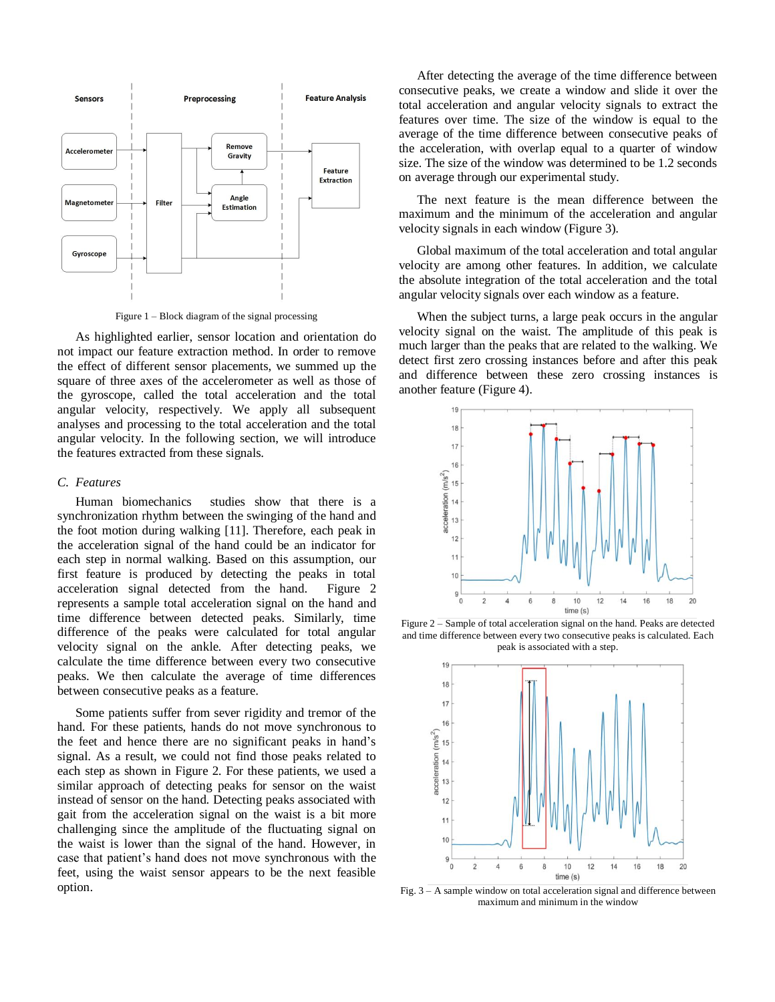

Figure 1 – Block diagram of the signal processing

As highlighted earlier, sensor location and orientation do not impact our feature extraction method. In order to remove the effect of different sensor placements, we summed up the square of three axes of the accelerometer as well as those of the gyroscope, called the total acceleration and the total angular velocity, respectively. We apply all subsequent analyses and processing to the total acceleration and the total angular velocity. In the following section, we will introduce the features extracted from these signals.

# *C. Features*

Human biomechanics studies show that there is a synchronization rhythm between the swinging of the hand and the foot motion during walking [11]. Therefore, each peak in the acceleration signal of the hand could be an indicator for each step in normal walking. Based on this assumption, our first feature is produced by detecting the peaks in total acceleration signal detected from the hand. Figure 2 represents a sample total acceleration signal on the hand and time difference between detected peaks. Similarly, time difference of the peaks were calculated for total angular velocity signal on the ankle. After detecting peaks, we calculate the time difference between every two consecutive peaks. We then calculate the average of time differences between consecutive peaks as a feature.

Some patients suffer from sever rigidity and tremor of the hand. For these patients, hands do not move synchronous to the feet and hence there are no significant peaks in hand's signal. As a result, we could not find those peaks related to each step as shown in Figure 2. For these patients, we used a similar approach of detecting peaks for sensor on the waist instead of sensor on the hand. Detecting peaks associated with gait from the acceleration signal on the waist is a bit more challenging since the amplitude of the fluctuating signal on the waist is lower than the signal of the hand. However, in case that patient's hand does not move synchronous with the feet, using the waist sensor appears to be the next feasible option.

After detecting the average of the time difference between consecutive peaks, we create a window and slide it over the total acceleration and angular velocity signals to extract the features over time. The size of the window is equal to the average of the time difference between consecutive peaks of the acceleration, with overlap equal to a quarter of window size. The size of the window was determined to be 1.2 seconds on average through our experimental study.

The next feature is the mean difference between the maximum and the minimum of the acceleration and angular velocity signals in each window (Figure 3).

Global maximum of the total acceleration and total angular velocity are among other features. In addition, we calculate the absolute integration of the total acceleration and the total angular velocity signals over each window as a feature.

When the subject turns, a large peak occurs in the angular velocity signal on the waist. The amplitude of this peak is much larger than the peaks that are related to the walking. We detect first zero crossing instances before and after this peak and difference between these zero crossing instances is another feature (Figure 4).



Figure 2 – Sample of total acceleration signal on the hand. Peaks are detected and time difference between every two consecutive peaks is calculated. Each peak is associated with a step.



Fig. 3 – A sample window on total acceleration signal and difference between maximum and minimum in the window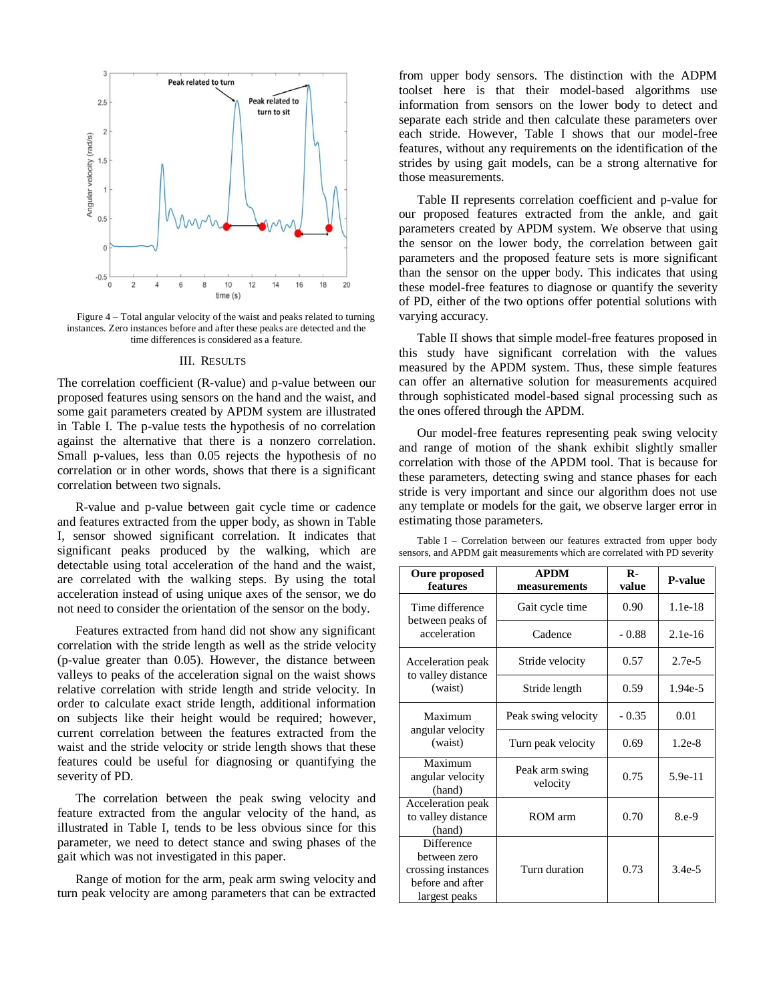

Figure 4 – Total angular velocity of the waist and peaks related to turning instances. Zero instances before and after these peaks are detected and the time differences is considered as a feature.

### III. RESULTS

The correlation coefficient (R-value) and p-value between our proposed features using sensors on the hand and the waist, and some gait parameters created by APDM system are illustrated in Table I. The p-value tests the hypothesis of no correlation against the alternative that there is a nonzero correlation. Small p-values, less than 0.05 rejects the hypothesis of no correlation or in other words, shows that there is a significant correlation between two signals.

R-value and p-value between gait cycle time or cadence and features extracted from the upper body, as shown in Table I, sensor showed significant correlation. It indicates that significant peaks produced by the walking, which are detectable using total acceleration of the hand and the waist, are correlated with the walking steps. By using the total acceleration instead of using unique axes of the sensor, we do not need to consider the orientation of the sensor on the body.

Features extracted from hand did not show any significant correlation with the stride length as well as the stride velocity (p-value greater than 0.05). However, the distance between valleys to peaks of the acceleration signal on the waist shows relative correlation with stride length and stride velocity. In order to calculate exact stride length, additional information on subjects like their height would be required; however, current correlation between the features extracted from the waist and the stride velocity or stride length shows that these features could be useful for diagnosing or quantifying the severity of PD.

The correlation between the peak swing velocity and feature extracted from the angular velocity of the hand, as illustrated in Table I, tends to be less obvious since for this parameter, we need to detect stance and swing phases of the gait which was not investigated in this paper.

Range of motion for the arm, peak arm swing velocity and turn peak velocity are among parameters that can be extracted

from upper body sensors. The distinction with the ADPM toolset here is that their model-based algorithms use information from sensors on the lower body to detect and separate each stride and then calculate these parameters over each stride. However, Table I shows that our model-free features, without any requirements on the identification of the strides by using gait models, can be a strong alternative for those measurements.

Table II represents correlation coefficient and p-value for our proposed features extracted from the ankle, and gait parameters created by APDM system. We observe that using the sensor on the lower body, the correlation between gait parameters and the proposed feature sets is more significant than the sensor on the upper body. This indicates that using these model-free features to diagnose or quantify the severity of PD, either of the two options offer potential solutions with varying accuracy.

Table II shows that simple model-free features proposed in this study have significant correlation with the values measured by the APDM system. Thus, these simple features can offer an alternative solution for measurements acquired through sophisticated model-based signal processing such as the ones offered through the APDM.

Our model-free features representing peak swing velocity and range of motion of the shank exhibit slightly smaller correlation with those of the APDM tool. That is because for these parameters, detecting swing and stance phases for each stride is very important and since our algorithm does not use any template or models for the gait, we observe larger error in estimating those parameters.

| <b>Oure proposed</b><br>features                                                      | <b>APDM</b><br>measurements | $\mathbf{R}$<br>value | P-value   |
|---------------------------------------------------------------------------------------|-----------------------------|-----------------------|-----------|
| Time difference<br>between peaks of<br>acceleration                                   | Gait cycle time             | 0.90                  | $1.1e-18$ |
|                                                                                       | Cadence                     | $-0.88$               | $2.1e-16$ |
| Acceleration peak<br>to valley distance<br>(waist)                                    | Stride velocity             | 0.57                  | $2.7e-5$  |
|                                                                                       | Stride length               | 0.59                  | $1.94e-5$ |
| Maximum<br>angular velocity<br>(waist)                                                | Peak swing velocity         | $-0.35$               | 0.01      |
|                                                                                       | Turn peak velocity          | 0.69                  | $1.2e-8$  |
| Maximum<br>angular velocity<br>(hand)                                                 | Peak arm swing<br>velocity  | 0.75                  | $5.9e-11$ |
| Acceleration peak<br>to valley distance<br>(hand)                                     | ROM arm                     | 0.70                  | 8.e-9     |
| Difference<br>between zero<br>crossing instances<br>before and after<br>largest peaks | Turn duration               | 0.73                  | $3.4e-5$  |

Table I – Correlation between our features extracted from upper body sensors, and APDM gait measurements which are correlated with PD severity